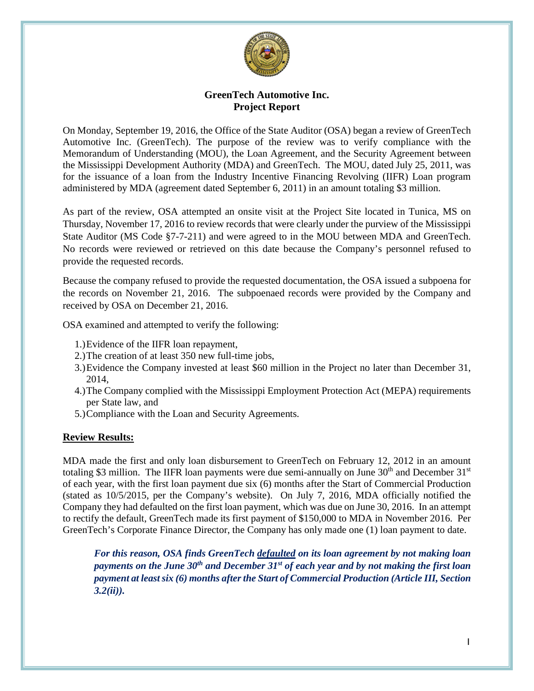

# **GreenTech Automotive Inc. Project Report**

On Monday, September 19, 2016, the Office of the State Auditor (OSA) began a review of GreenTech Automotive Inc. (GreenTech). The purpose of the review was to verify compliance with the Memorandum of Understanding (MOU), the Loan Agreement, and the Security Agreement between the Mississippi Development Authority (MDA) and GreenTech. The MOU, dated July 25, 2011, was for the issuance of a loan from the Industry Incentive Financing Revolving (IIFR) Loan program administered by MDA (agreement dated September 6, 2011) in an amount totaling \$3 million.

As part of the review, OSA attempted an onsite visit at the Project Site located in Tunica, MS on Thursday, November 17, 2016 to review records that were clearly under the purview of the Mississippi State Auditor (MS Code §7-7-211) and were agreed to in the MOU between MDA and GreenTech. No records were reviewed or retrieved on this date because the Company's personnel refused to provide the requested records.

Because the company refused to provide the requested documentation, the OSA issued a subpoena for the records on November 21, 2016. The subpoenaed records were provided by the Company and received by OSA on December 21, 2016.

OSA examined and attempted to verify the following:

- 1.)Evidence of the IIFR loan repayment,
- 2.)The creation of at least 350 new full-time jobs,
- 3.)Evidence the Company invested at least \$60 million in the Project no later than December 31, 2014,
- 4.)The Company complied with the Mississippi Employment Protection Act (MEPA) requirements per State law, and
- 5.)Compliance with the Loan and Security Agreements.

### **Review Results:**

MDA made the first and only loan disbursement to GreenTech on February 12, 2012 in an amount totaling \$3 million. The IIFR loan payments were due semi-annually on June  $30<sup>th</sup>$  and December  $31<sup>st</sup>$ of each year, with the first loan payment due six (6) months after the Start of Commercial Production (stated as 10/5/2015, per the Company's website). On July 7, 2016, MDA officially notified the Company they had defaulted on the first loan payment, which was due on June 30, 2016. In an attempt to rectify the default, GreenTech made its first payment of \$150,000 to MDA in November 2016. Per GreenTech's Corporate Finance Director, the Company has only made one (1) loan payment to date.

*For this reason, OSA finds GreenTech defaulted on its loan agreement by not making loan payments on the June 30th and December 31st of each year and by not making the first loan payment at least six (6) months after the Start of Commercial Production (Article III, Section 3.2(ii)).*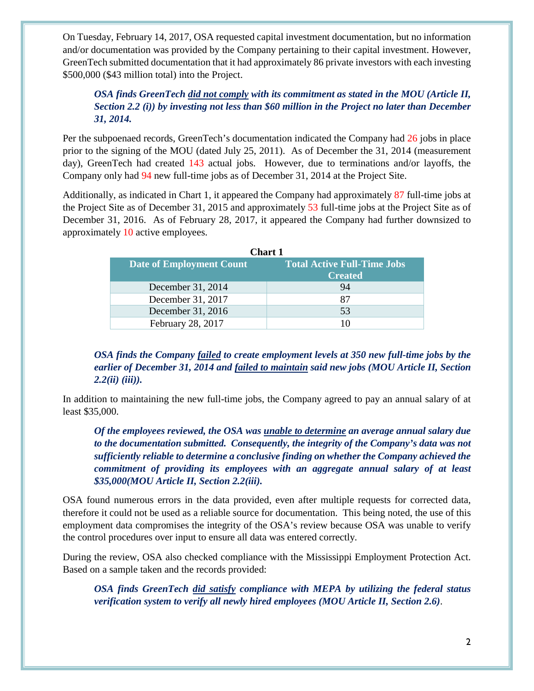On Tuesday, February 14, 2017, OSA requested capital investment documentation, but no information and/or documentation was provided by the Company pertaining to their capital investment. However, GreenTech submitted documentation that it had approximately 86 private investors with each investing \$500,000 (\$43 million total) into the Project.

# *OSA finds GreenTech did not comply with its commitment as stated in the MOU (Article II, Section 2.2 (i)) by investing not less than \$60 million in the Project no later than December 31, 2014.*

Per the subpoenaed records, GreenTech's documentation indicated the Company had 26 jobs in place prior to the signing of the MOU (dated July 25, 2011). As of December the 31, 2014 (measurement day), GreenTech had created 143 actual jobs. However, due to terminations and/or layoffs, the Company only had 94 new full-time jobs as of December 31, 2014 at the Project Site.

Additionally, as indicated in Chart 1, it appeared the Company had approximately 87 full-time jobs at the Project Site as of December 31, 2015 and approximately 53 full-time jobs at the Project Site as of December 31, 2016. As of February 28, 2017, it appeared the Company had further downsized to approximately 10 active employees.

| <b>Chart 1</b>                  |                                    |  |  |  |
|---------------------------------|------------------------------------|--|--|--|
| <b>Date of Employment Count</b> | <b>Total Active Full-Time Jobs</b> |  |  |  |
|                                 | <b>Created</b>                     |  |  |  |
| December 31, 2014               | 94                                 |  |  |  |
| December 31, 2017               | 87                                 |  |  |  |
| December 31, 2016               | 53                                 |  |  |  |
| February 28, 2017               |                                    |  |  |  |

*OSA finds the Company failed to create employment levels at 350 new full-time jobs by the earlier of December 31, 2014 and failed to maintain said new jobs (MOU Article II, Section 2.2(ii) (iii)).*

In addition to maintaining the new full-time jobs, the Company agreed to pay an annual salary of at least \$35,000.

*Of the employees reviewed, the OSA was unable to determine an average annual salary due to the documentation submitted. Consequently, the integrity of the Company's data was not sufficiently reliable to determine a conclusive finding on whether the Company achieved the commitment of providing its employees with an aggregate annual salary of at least \$35,000(MOU Article II, Section 2.2(iii).* 

OSA found numerous errors in the data provided, even after multiple requests for corrected data, therefore it could not be used as a reliable source for documentation. This being noted, the use of this employment data compromises the integrity of the OSA's review because OSA was unable to verify the control procedures over input to ensure all data was entered correctly.

During the review, OSA also checked compliance with the Mississippi Employment Protection Act. Based on a sample taken and the records provided:

*OSA finds GreenTech did satisfy compliance with MEPA by utilizing the federal status verification system to verify all newly hired employees (MOU Article II, Section 2.6)*.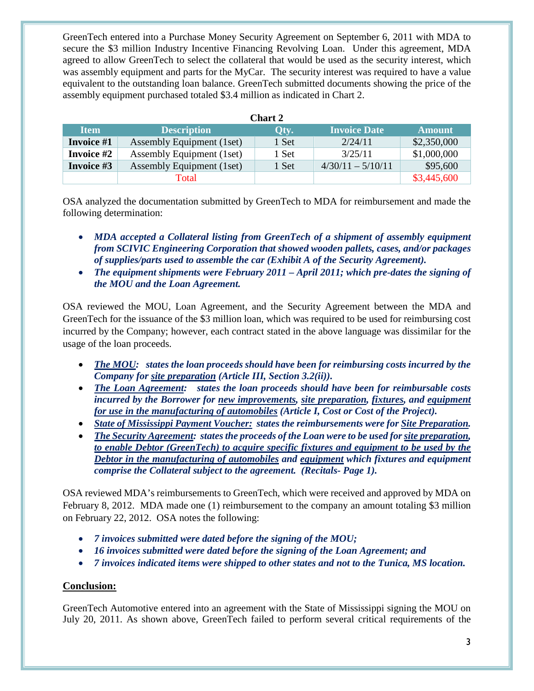GreenTech entered into a Purchase Money Security Agreement on September 6, 2011 with MDA to secure the \$3 million Industry Incentive Financing Revolving Loan. Under this agreement, MDA agreed to allow GreenTech to select the collateral that would be used as the security interest, which was assembly equipment and parts for the MyCar. The security interest was required to have a value equivalent to the outstanding loan balance. GreenTech submitted documents showing the price of the assembly equipment purchased totaled \$3.4 million as indicated in Chart 2.

| <b>Chart 2</b>    |                           |       |                     |               |  |  |
|-------------------|---------------------------|-------|---------------------|---------------|--|--|
| <b>Item</b>       | <b>Description</b>        | Qty.  | <b>Invoice Date</b> | <b>Amount</b> |  |  |
| Invoice #1        | Assembly Equipment (1set) | 1 Set | 2/24/11             | \$2,350,000   |  |  |
| <b>Invoice #2</b> | Assembly Equipment (1set) | 1 Set | 3/25/11             | \$1,000,000   |  |  |
| Invoice #3        | Assembly Equipment (1set) | 1 Set | $4/30/11 - 5/10/11$ | \$95,600      |  |  |
|                   | Total                     |       |                     | \$3,445,600   |  |  |

OSA analyzed the documentation submitted by GreenTech to MDA for reimbursement and made the following determination:

- *MDA accepted a Collateral listing from GreenTech of a shipment of assembly equipment from SCIVIC Engineering Corporation that showed wooden pallets, cases, and/or packages of supplies/parts used to assemble the car (Exhibit A of the Security Agreement).*
- *The equipment shipments were February 2011 – April 2011; which pre-dates the signing of the MOU and the Loan Agreement.*

OSA reviewed the MOU, Loan Agreement, and the Security Agreement between the MDA and GreenTech for the issuance of the \$3 million loan, which was required to be used for reimbursing cost incurred by the Company; however, each contract stated in the above language was dissimilar for the usage of the loan proceeds.

- *The MOU: states the loan proceeds should have been for reimbursing costs incurred by the Company for site preparation (Article III, Section 3.2(ii)).*
- *The Loan Agreement: states the loan proceeds should have been for reimbursable costs incurred by the Borrower for new improvements, site preparation, fixtures, and equipment for use in the manufacturing of automobiles (Article I, Cost or Cost of the Project).*
- *State of Mississippi Payment Voucher: states the reimbursements were for Site Preparation.*
- *The Security Agreement: states the proceeds of the Loan were to be used for site preparation, to enable Debtor (GreenTech) to acquire specific fixtures and equipment to be used by the Debtor in the manufacturing of automobiles and equipment which fixtures and equipment comprise the Collateral subject to the agreement. (Recitals- Page 1).*

OSA reviewed MDA's reimbursements to GreenTech, which were received and approved by MDA on February 8, 2012. MDA made one (1) reimbursement to the company an amount totaling \$3 million on February 22, 2012. OSA notes the following:

- *7 invoices submitted were dated before the signing of the MOU;*
- *16 invoices submitted were dated before the signing of the Loan Agreement; and*
- *7 invoices indicated items were shipped to other states and not to the Tunica, MS location.*

### **Conclusion:**

GreenTech Automotive entered into an agreement with the State of Mississippi signing the MOU on July 20, 2011. As shown above, GreenTech failed to perform several critical requirements of the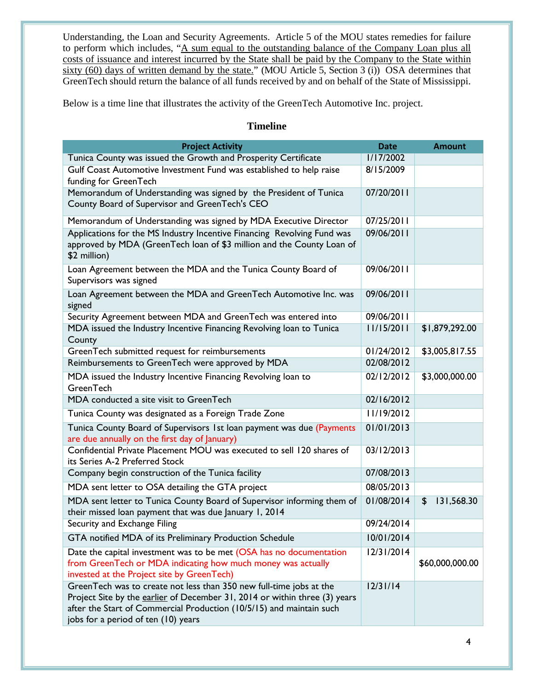Understanding, the Loan and Security Agreements. Article 5 of the MOU states remedies for failure to perform which includes, "A sum equal to the outstanding balance of the Company Loan plus all costs of issuance and interest incurred by the State shall be paid by the Company to the State within sixty (60) days of written demand by the state." (MOU Article 5, Section 3 (i)) OSA determines that GreenTech should return the balance of all funds received by and on behalf of the State of Mississippi.

Below is a time line that illustrates the activity of the GreenTech Automotive Inc. project.

## **Timeline**

| <b>Project Activity</b>                                                                                                                                                                                                                                          | <b>Date</b> | <b>Amount</b>    |
|------------------------------------------------------------------------------------------------------------------------------------------------------------------------------------------------------------------------------------------------------------------|-------------|------------------|
| Tunica County was issued the Growth and Prosperity Certificate                                                                                                                                                                                                   | 1/17/2002   |                  |
| Gulf Coast Automotive Investment Fund was established to help raise<br>funding for GreenTech                                                                                                                                                                     | 8/15/2009   |                  |
| Memorandum of Understanding was signed by the President of Tunica<br>County Board of Supervisor and GreenTech's CEO                                                                                                                                              | 07/20/2011  |                  |
| Memorandum of Understanding was signed by MDA Executive Director                                                                                                                                                                                                 | 07/25/2011  |                  |
| Applications for the MS Industry Incentive Financing Revolving Fund was<br>approved by MDA (GreenTech loan of \$3 million and the County Loan of<br>\$2 million)                                                                                                 | 09/06/2011  |                  |
| Loan Agreement between the MDA and the Tunica County Board of<br>Supervisors was signed                                                                                                                                                                          | 09/06/2011  |                  |
| Loan Agreement between the MDA and GreenTech Automotive Inc. was<br>signed                                                                                                                                                                                       | 09/06/2011  |                  |
| Security Agreement between MDA and GreenTech was entered into                                                                                                                                                                                                    | 09/06/2011  |                  |
| MDA issued the Industry Incentive Financing Revolving loan to Tunica<br>County                                                                                                                                                                                   | 11/15/2011  | \$1,879,292.00   |
| GreenTech submitted request for reimbursements                                                                                                                                                                                                                   | 01/24/2012  | \$3,005,817.55   |
| Reimbursements to GreenTech were approved by MDA                                                                                                                                                                                                                 | 02/08/2012  |                  |
| MDA issued the Industry Incentive Financing Revolving loan to<br>GreenTech                                                                                                                                                                                       | 02/12/2012  | \$3,000,000.00   |
| MDA conducted a site visit to GreenTech                                                                                                                                                                                                                          | 02/16/2012  |                  |
| Tunica County was designated as a Foreign Trade Zone                                                                                                                                                                                                             | 11/19/2012  |                  |
| Tunica County Board of Supervisors 1st loan payment was due (Payments<br>are due annually on the first day of January)                                                                                                                                           | 01/01/2013  |                  |
| Confidential Private Placement MOU was executed to sell 120 shares of<br>its Series A-2 Preferred Stock                                                                                                                                                          | 03/12/2013  |                  |
| Company begin construction of the Tunica facility                                                                                                                                                                                                                | 07/08/2013  |                  |
| MDA sent letter to OSA detailing the GTA project                                                                                                                                                                                                                 | 08/05/2013  |                  |
| MDA sent letter to Tunica County Board of Supervisor informing them of<br>their missed loan payment that was due January 1, 2014                                                                                                                                 | 01/08/2014  | 131,568.30<br>\$ |
| Security and Exchange Filing                                                                                                                                                                                                                                     | 09/24/2014  |                  |
| GTA notified MDA of its Preliminary Production Schedule                                                                                                                                                                                                          | 10/01/2014  |                  |
| Date the capital investment was to be met (OSA has no documentation<br>from GreenTech or MDA indicating how much money was actually<br>invested at the Project site by GreenTech)                                                                                | 12/31/2014  | \$60,000,000.00  |
| GreenTech was to create not less than 350 new full-time jobs at the<br>Project Site by the earlier of December 31, 2014 or within three (3) years<br>after the Start of Commercial Production (10/5/15) and maintain such<br>jobs for a period of ten (10) years | 12/31/14    |                  |